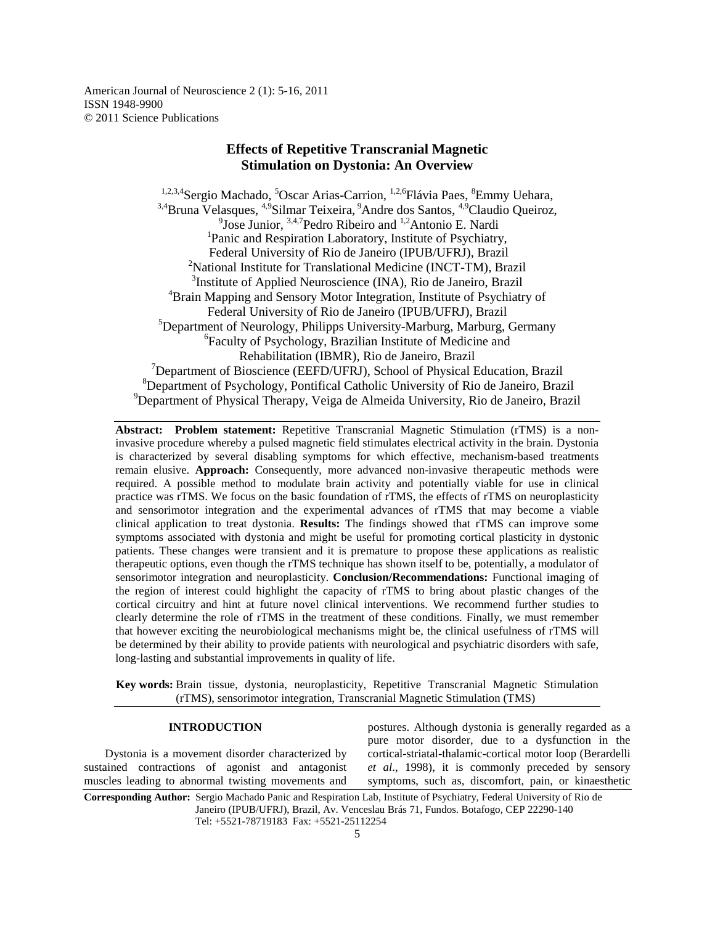American Journal of Neuroscience 2 (1): 5-16, 2011 ISSN 1948-9900 © 2011 Science Publications

## **Effects of Repetitive Transcranial Magnetic Stimulation on Dystonia: An Overview**

<sup>1,2,3,4</sup>Sergio Machado, <sup>5</sup>Oscar Arias-Carrion, <sup>1,2,6</sup>Flávia Paes, <sup>8</sup>Emmy Uehara, <sup>3,4</sup>Bruna Velasques, <sup>4,9</sup>Silmar Teixeira, <sup>9</sup>Andre dos Santos, <sup>4,9</sup>Claudio Queiroz,  $9$ Jose Junior,  $3,4,7$ Pedro Ribeiro and  $1,2$ Antonio E. Nardi <sup>1</sup>Panic and Respiration Laboratory, Institute of Psychiatry, Federal University of Rio de Janeiro (IPUB/UFRJ), Brazil <sup>2</sup>National Institute for Translational Medicine (INCT-TM), Brazil <sup>3</sup>Institute of Applied Neuroscience (INA), Rio de Janeiro, Brazil <sup>4</sup>Brain Mapping and Sensory Motor Integration, Institute of Psychiatry of Federal University of Rio de Janeiro (IPUB/UFRJ), Brazil <sup>5</sup>Department of Neurology, Philipps University-Marburg, Marburg, Germany 6 Faculty of Psychology, Brazilian Institute of Medicine and Rehabilitation (IBMR), Rio de Janeiro, Brazil <sup>7</sup>Department of Bioscience (EEFD/UFRJ), School of Physical Education, Brazil <sup>8</sup>Department of Psychology, Pontifical Catholic University of Rio de Janeiro, Brazil <sup>9</sup>Department of Physical Therapy, Veiga de Almeida University, Rio de Janeiro, Brazil

**Abstract: Problem statement:** Repetitive Transcranial Magnetic Stimulation (rTMS) is a noninvasive procedure whereby a pulsed magnetic field stimulates electrical activity in the brain. Dystonia is characterized by several disabling symptoms for which effective, mechanism-based treatments remain elusive. **Approach:** Consequently, more advanced non-invasive therapeutic methods were required. A possible method to modulate brain activity and potentially viable for use in clinical practice was rTMS. We focus on the basic foundation of rTMS, the effects of rTMS on neuroplasticity and sensorimotor integration and the experimental advances of rTMS that may become a viable clinical application to treat dystonia. **Results:** The findings showed that rTMS can improve some symptoms associated with dystonia and might be useful for promoting cortical plasticity in dystonic patients. These changes were transient and it is premature to propose these applications as realistic therapeutic options, even though the rTMS technique has shown itself to be, potentially, a modulator of sensorimotor integration and neuroplasticity. **Conclusion/Recommendations:** Functional imaging of the region of interest could highlight the capacity of rTMS to bring about plastic changes of the cortical circuitry and hint at future novel clinical interventions. We recommend further studies to clearly determine the role of rTMS in the treatment of these conditions. Finally, we must remember that however exciting the neurobiological mechanisms might be, the clinical usefulness of rTMS will be determined by their ability to provide patients with neurological and psychiatric disorders with safe, long-lasting and substantial improvements in quality of life.

**Key words:** Brain tissue, dystonia, neuroplasticity, Repetitive Transcranial Magnetic Stimulation (rTMS), sensorimotor integration, Transcranial Magnetic Stimulation (TMS)

## **INTRODUCTION**

 Dystonia is a movement disorder characterized by sustained contractions of agonist and antagonist muscles leading to abnormal twisting movements and postures. Although dystonia is generally regarded as a pure motor disorder, due to a dysfunction in the cortical-striatal-thalamic-cortical motor loop (Berardelli *et al*., 1998), it is commonly preceded by sensory symptoms, such as, discomfort, pain, or kinaesthetic

**Corresponding Author:** Sergio Machado Panic and Respiration Lab, Institute of Psychiatry, Federal University of Rio de Janeiro (IPUB/UFRJ), Brazil, Av. Venceslau Brás 71, Fundos. Botafogo, CEP 22290-140 Tel: +5521-78719183 Fax: +5521-25112254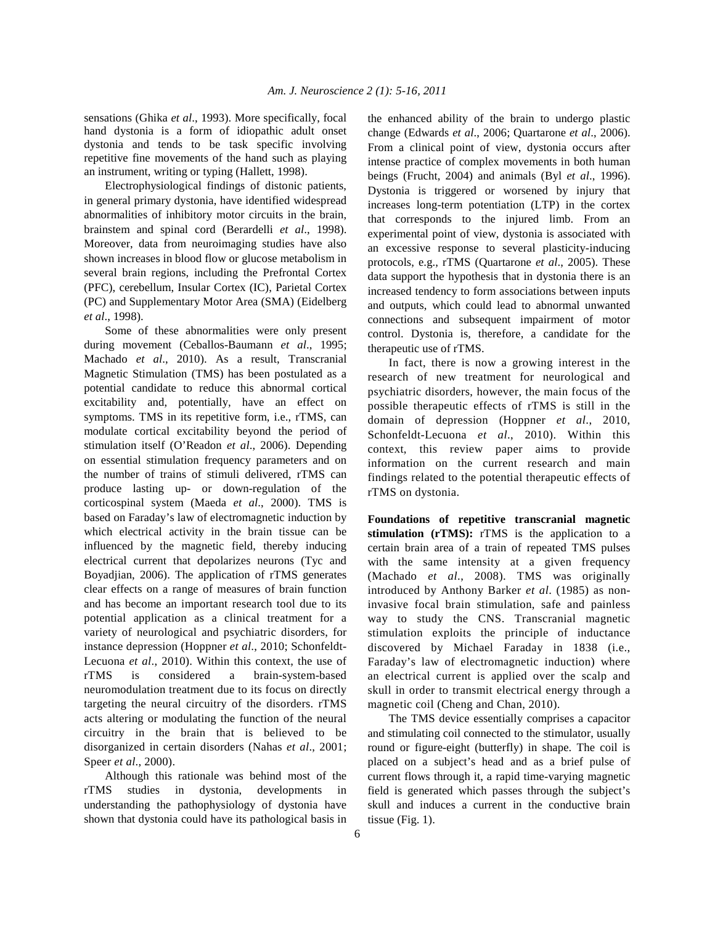sensations (Ghika *et al*., 1993). More specifically, focal hand dystonia is a form of idiopathic adult onset dystonia and tends to be task specific involving repetitive fine movements of the hand such as playing an instrument, writing or typing (Hallett, 1998).

 Electrophysiological findings of distonic patients, in general primary dystonia, have identified widespread abnormalities of inhibitory motor circuits in the brain, brainstem and spinal cord (Berardelli *et al*., 1998). Moreover, data from neuroimaging studies have also shown increases in blood flow or glucose metabolism in several brain regions, including the Prefrontal Cortex (PFC), cerebellum, Insular Cortex (IC), Parietal Cortex (PC) and Supplementary Motor Area (SMA) (Eidelberg *et al*., 1998).

 Some of these abnormalities were only present during movement (Ceballos-Baumann *et al*., 1995; Machado *et al*., 2010). As a result, Transcranial Magnetic Stimulation (TMS) has been postulated as a potential candidate to reduce this abnormal cortical excitability and, potentially, have an effect on symptoms. TMS in its repetitive form, i.e., rTMS, can modulate cortical excitability beyond the period of stimulation itself (O'Readon *et al*., 2006). Depending on essential stimulation frequency parameters and on the number of trains of stimuli delivered, rTMS can produce lasting up- or down-regulation of the corticospinal system (Maeda *et al*., 2000). TMS is based on Faraday's law of electromagnetic induction by which electrical activity in the brain tissue can be influenced by the magnetic field, thereby inducing electrical current that depolarizes neurons (Tyc and Boyadjian, 2006). The application of rTMS generates clear effects on a range of measures of brain function and has become an important research tool due to its potential application as a clinical treatment for a variety of neurological and psychiatric disorders, for instance depression (Hoppner *et al*., 2010; Schonfeldt-Lecuona *et al*., 2010). Within this context, the use of rTMS is considered a brain-system-based neuromodulation treatment due to its focus on directly targeting the neural circuitry of the disorders. rTMS acts altering or modulating the function of the neural circuitry in the brain that is believed to be disorganized in certain disorders (Nahas *et al*., 2001; Speer *et al*., 2000).

 Although this rationale was behind most of the rTMS studies in dystonia, developments in understanding the pathophysiology of dystonia have shown that dystonia could have its pathological basis in the enhanced ability of the brain to undergo plastic change (Edwards *et al*., 2006; Quartarone *et al*., 2006). From a clinical point of view, dystonia occurs after intense practice of complex movements in both human beings (Frucht, 2004) and animals (Byl *et al*., 1996). Dystonia is triggered or worsened by injury that increases long-term potentiation (LTP) in the cortex that corresponds to the injured limb. From an experimental point of view, dystonia is associated with an excessive response to several plasticity-inducing protocols, e.g., rTMS (Quartarone *et al*., 2005). These data support the hypothesis that in dystonia there is an increased tendency to form associations between inputs and outputs, which could lead to abnormal unwanted connections and subsequent impairment of motor control. Dystonia is, therefore, a candidate for the therapeutic use of rTMS.

 In fact, there is now a growing interest in the research of new treatment for neurological and psychiatric disorders, however, the main focus of the possible therapeutic effects of rTMS is still in the domain of depression (Hoppner *et al*., 2010, Schonfeldt-Lecuona *et al*., 2010). Within this context, this review paper aims to provide information on the current research and main findings related to the potential therapeutic effects of rTMS on dystonia.

**Foundations of repetitive transcranial magnetic stimulation (rTMS):** rTMS is the application to a certain brain area of a train of repeated TMS pulses with the same intensity at a given frequency (Machado *et al*., 2008). TMS was originally introduced by Anthony Barker *et al*. (1985) as noninvasive focal brain stimulation, safe and painless way to study the CNS. Transcranial magnetic stimulation exploits the principle of inductance discovered by Michael Faraday in 1838 (i.e., Faraday's law of electromagnetic induction) where an electrical current is applied over the scalp and skull in order to transmit electrical energy through a magnetic coil (Cheng and Chan, 2010).

 The TMS device essentially comprises a capacitor and stimulating coil connected to the stimulator, usually round or figure-eight (butterfly) in shape. The coil is placed on a subject's head and as a brief pulse of current flows through it, a rapid time-varying magnetic field is generated which passes through the subject's skull and induces a current in the conductive brain tissue (Fig. 1).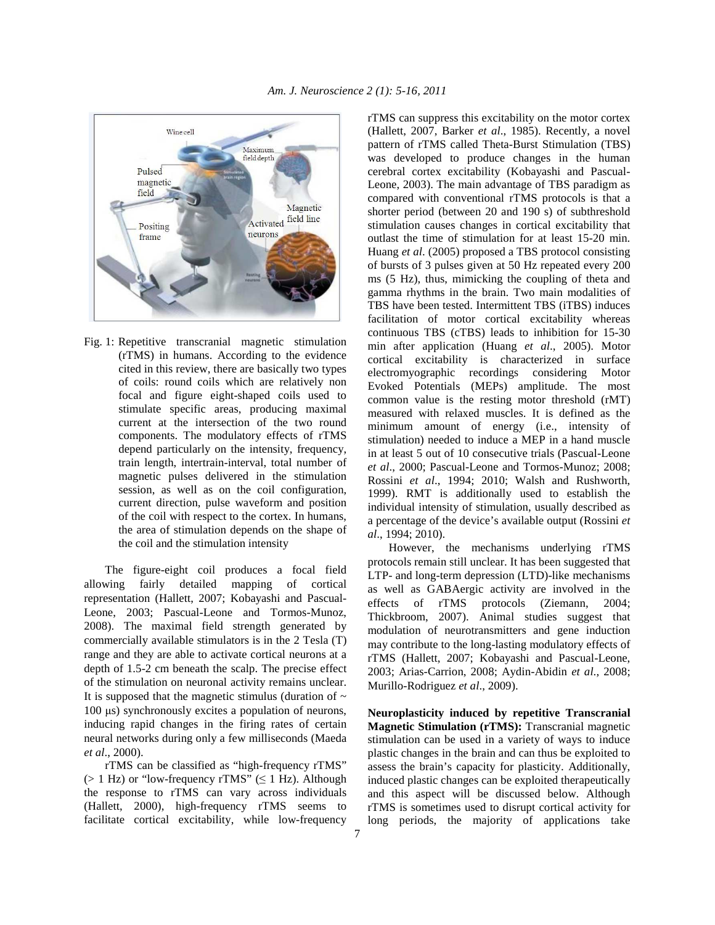

Fig. 1: Repetitive transcranial magnetic stimulation (rTMS) in humans. According to the evidence cited in this review, there are basically two types of coils: round coils which are relatively non focal and figure eight-shaped coils used to stimulate specific areas, producing maximal current at the intersection of the two round components. The modulatory effects of rTMS depend particularly on the intensity, frequency, train length, intertrain-interval, total number of magnetic pulses delivered in the stimulation session, as well as on the coil configuration, current direction, pulse waveform and position of the coil with respect to the cortex. In humans, the area of stimulation depends on the shape of the coil and the stimulation intensity

 The figure-eight coil produces a focal field allowing fairly detailed mapping of cortical representation (Hallett, 2007; Kobayashi and Pascual-Leone, 2003; Pascual-Leone and Tormos-Munoz, 2008). The maximal field strength generated by commercially available stimulators is in the 2 Tesla (T) range and they are able to activate cortical neurons at a depth of 1.5-2 cm beneath the scalp. The precise effect of the stimulation on neuronal activity remains unclear. It is supposed that the magnetic stimulus (duration of  $\sim$ 100 µs) synchronously excites a population of neurons, inducing rapid changes in the firing rates of certain neural networks during only a few milliseconds (Maeda *et al*., 2000).

 rTMS can be classified as "high-frequency rTMS" ( $> 1$  Hz) or "low-frequency rTMS" ( $\leq 1$  Hz). Although the response to rTMS can vary across individuals (Hallett, 2000), high-frequency rTMS seems to facilitate cortical excitability, while low-frequency rTMS can suppress this excitability on the motor cortex (Hallett, 2007, Barker *et al*., 1985). Recently, a novel pattern of rTMS called Theta-Burst Stimulation (TBS) was developed to produce changes in the human cerebral cortex excitability (Kobayashi and Pascual-Leone, 2003). The main advantage of TBS paradigm as compared with conventional rTMS protocols is that a shorter period (between 20 and 190 s) of subthreshold stimulation causes changes in cortical excitability that outlast the time of stimulation for at least 15-20 min. Huang *et al*. (2005) proposed a TBS protocol consisting of bursts of 3 pulses given at 50 Hz repeated every 200 ms (5 Hz), thus, mimicking the coupling of theta and gamma rhythms in the brain. Two main modalities of TBS have been tested. Intermittent TBS (iTBS) induces facilitation of motor cortical excitability whereas continuous TBS (cTBS) leads to inhibition for 15-30 min after application (Huang *et al*., 2005). Motor cortical excitability is characterized in surface electromyographic recordings considering Motor Evoked Potentials (MEPs) amplitude. The most common value is the resting motor threshold (rMT) measured with relaxed muscles. It is defined as the minimum amount of energy (i.e., intensity of stimulation) needed to induce a MEP in a hand muscle in at least 5 out of 10 consecutive trials (Pascual-Leone *et al*., 2000; Pascual-Leone and Tormos-Munoz; 2008; Rossini *et al*., 1994; 2010; Walsh and Rushworth, 1999). RMT is additionally used to establish the individual intensity of stimulation, usually described as a percentage of the device's available output (Rossini *et al*., 1994; 2010).

 However, the mechanisms underlying rTMS protocols remain still unclear. It has been suggested that LTP- and long-term depression (LTD)-like mechanisms as well as GABAergic activity are involved in the effects of rTMS protocols (Ziemann, 2004; Thickbroom, 2007). Animal studies suggest that modulation of neurotransmitters and gene induction may contribute to the long-lasting modulatory effects of rTMS (Hallett, 2007; Kobayashi and Pascual-Leone, 2003; Arias-Carrion, 2008; Aydin-Abidin *et al*., 2008; Murillo-Rodriguez *et al*., 2009).

**Neuroplasticity induced by repetitive Transcranial Magnetic Stimulation (rTMS):** Transcranial magnetic stimulation can be used in a variety of ways to induce plastic changes in the brain and can thus be exploited to assess the brain's capacity for plasticity. Additionally, induced plastic changes can be exploited therapeutically and this aspect will be discussed below. Although rTMS is sometimes used to disrupt cortical activity for long periods, the majority of applications take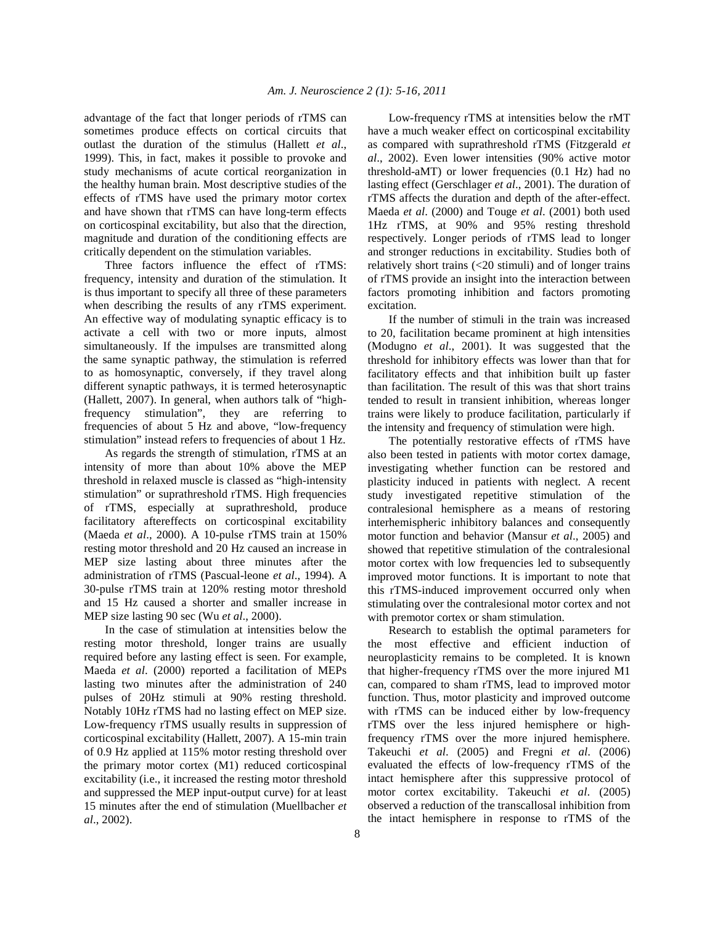advantage of the fact that longer periods of rTMS can sometimes produce effects on cortical circuits that outlast the duration of the stimulus (Hallett *et al*., 1999). This, in fact, makes it possible to provoke and study mechanisms of acute cortical reorganization in the healthy human brain. Most descriptive studies of the effects of rTMS have used the primary motor cortex and have shown that rTMS can have long-term effects on corticospinal excitability, but also that the direction, magnitude and duration of the conditioning effects are critically dependent on the stimulation variables.

 Three factors influence the effect of rTMS: frequency, intensity and duration of the stimulation. It is thus important to specify all three of these parameters when describing the results of any rTMS experiment. An effective way of modulating synaptic efficacy is to activate a cell with two or more inputs, almost simultaneously. If the impulses are transmitted along the same synaptic pathway, the stimulation is referred to as homosynaptic, conversely, if they travel along different synaptic pathways, it is termed heterosynaptic (Hallett, 2007). In general, when authors talk of "highfrequency stimulation", they are referring to frequencies of about 5 Hz and above, "low-frequency stimulation" instead refers to frequencies of about 1 Hz.

 As regards the strength of stimulation, rTMS at an intensity of more than about 10% above the MEP threshold in relaxed muscle is classed as "high-intensity stimulation" or suprathreshold rTMS. High frequencies of rTMS, especially at suprathreshold, produce facilitatory aftereffects on corticospinal excitability (Maeda *et al*., 2000). A 10-pulse rTMS train at 150% resting motor threshold and 20 Hz caused an increase in MEP size lasting about three minutes after the administration of rTMS (Pascual-leone *et al*., 1994). A 30-pulse rTMS train at 120% resting motor threshold and 15 Hz caused a shorter and smaller increase in MEP size lasting 90 sec (Wu *et al*., 2000).

 In the case of stimulation at intensities below the resting motor threshold, longer trains are usually required before any lasting effect is seen. For example, Maeda *et al*. (2000) reported a facilitation of MEPs lasting two minutes after the administration of 240 pulses of 20Hz stimuli at 90% resting threshold. Notably 10Hz rTMS had no lasting effect on MEP size. Low-frequency rTMS usually results in suppression of corticospinal excitability (Hallett, 2007). A 15-min train of 0.9 Hz applied at 115% motor resting threshold over the primary motor cortex (M1) reduced corticospinal excitability (i.e., it increased the resting motor threshold and suppressed the MEP input-output curve) for at least 15 minutes after the end of stimulation (Muellbacher *et al*., 2002).

 Low-frequency rTMS at intensities below the rMT have a much weaker effect on corticospinal excitability as compared with suprathreshold rTMS (Fitzgerald *et al*., 2002). Even lower intensities (90% active motor threshold-aMT) or lower frequencies (0.1 Hz) had no lasting effect (Gerschlager *et al*., 2001). The duration of rTMS affects the duration and depth of the after-effect. Maeda *et al*. (2000) and Touge *et al*. (2001) both used 1Hz rTMS, at 90% and 95% resting threshold respectively. Longer periods of rTMS lead to longer and stronger reductions in excitability. Studies both of relatively short trains (<20 stimuli) and of longer trains of rTMS provide an insight into the interaction between factors promoting inhibition and factors promoting excitation.

 If the number of stimuli in the train was increased to 20, facilitation became prominent at high intensities (Modugno *et al*., 2001). It was suggested that the threshold for inhibitory effects was lower than that for facilitatory effects and that inhibition built up faster than facilitation. The result of this was that short trains tended to result in transient inhibition, whereas longer trains were likely to produce facilitation, particularly if the intensity and frequency of stimulation were high.

 The potentially restorative effects of rTMS have also been tested in patients with motor cortex damage, investigating whether function can be restored and plasticity induced in patients with neglect. A recent study investigated repetitive stimulation of the contralesional hemisphere as a means of restoring interhemispheric inhibitory balances and consequently motor function and behavior (Mansur *et al*., 2005) and showed that repetitive stimulation of the contralesional motor cortex with low frequencies led to subsequently improved motor functions. It is important to note that this rTMS-induced improvement occurred only when stimulating over the contralesional motor cortex and not with premotor cortex or sham stimulation.

 Research to establish the optimal parameters for the most effective and efficient induction of neuroplasticity remains to be completed. It is known that higher-frequency rTMS over the more injured M1 can, compared to sham rTMS, lead to improved motor function. Thus, motor plasticity and improved outcome with rTMS can be induced either by low-frequency rTMS over the less injured hemisphere or highfrequency rTMS over the more injured hemisphere. Takeuchi *et al*. (2005) and Fregni *et al*. (2006) evaluated the effects of low-frequency rTMS of the intact hemisphere after this suppressive protocol of motor cortex excitability. Takeuchi *et al*. (2005) observed a reduction of the transcallosal inhibition from the intact hemisphere in response to rTMS of the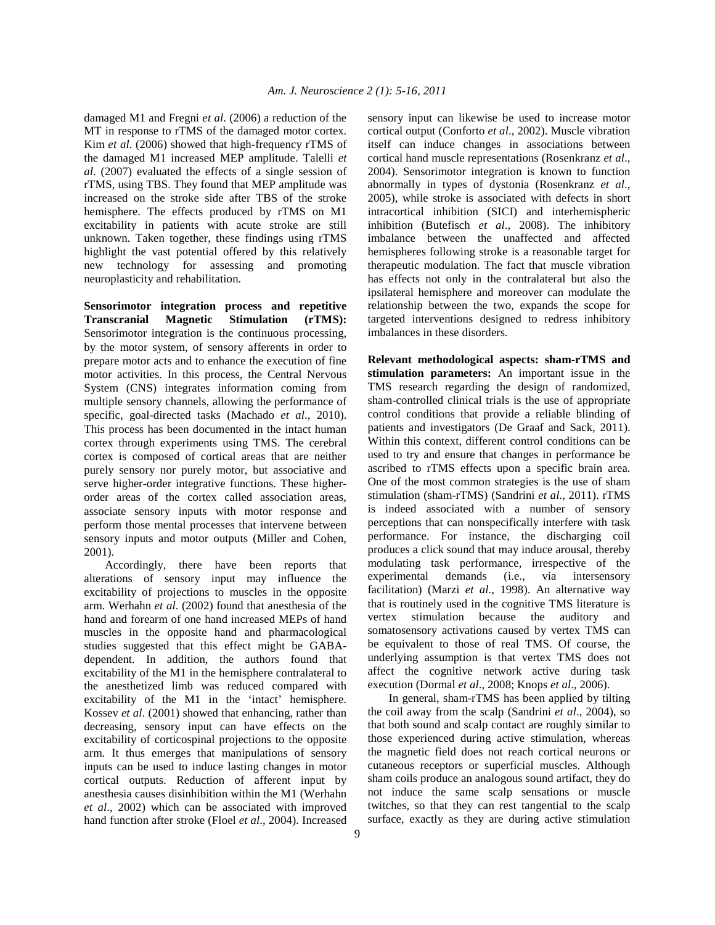damaged M1 and Fregni *et al*. (2006) a reduction of the MT in response to rTMS of the damaged motor cortex. Kim *et al*. (2006) showed that high-frequency rTMS of the damaged M1 increased MEP amplitude. Talelli *et al*. (2007) evaluated the effects of a single session of rTMS, using TBS. They found that MEP amplitude was increased on the stroke side after TBS of the stroke hemisphere. The effects produced by rTMS on M1 excitability in patients with acute stroke are still unknown. Taken together, these findings using rTMS highlight the vast potential offered by this relatively new technology for assessing and promoting neuroplasticity and rehabilitation.

**Sensorimotor integration process and repetitive Transcranial Magnetic Stimulation (rTMS):**  Sensorimotor integration is the continuous processing, by the motor system, of sensory afferents in order to prepare motor acts and to enhance the execution of fine motor activities. In this process, the Central Nervous System (CNS) integrates information coming from multiple sensory channels, allowing the performance of specific, goal-directed tasks (Machado *et al*., 2010). This process has been documented in the intact human cortex through experiments using TMS. The cerebral cortex is composed of cortical areas that are neither purely sensory nor purely motor, but associative and serve higher-order integrative functions. These higherorder areas of the cortex called association areas, associate sensory inputs with motor response and perform those mental processes that intervene between sensory inputs and motor outputs (Miller and Cohen, 2001).

 Accordingly, there have been reports that alterations of sensory input may influence the excitability of projections to muscles in the opposite arm. Werhahn *et al*. (2002) found that anesthesia of the hand and forearm of one hand increased MEPs of hand muscles in the opposite hand and pharmacological studies suggested that this effect might be GABAdependent. In addition, the authors found that excitability of the M1 in the hemisphere contralateral to the anesthetized limb was reduced compared with excitability of the M1 in the 'intact' hemisphere. Kossev *et al*. (2001) showed that enhancing, rather than decreasing, sensory input can have effects on the excitability of corticospinal projections to the opposite arm. It thus emerges that manipulations of sensory inputs can be used to induce lasting changes in motor cortical outputs. Reduction of afferent input by anesthesia causes disinhibition within the M1 (Werhahn *et al*., 2002) which can be associated with improved hand function after stroke (Floel *et al*., 2004). Increased

sensory input can likewise be used to increase motor cortical output (Conforto *et al*., 2002). Muscle vibration itself can induce changes in associations between cortical hand muscle representations (Rosenkranz *et al*., 2004). Sensorimotor integration is known to function abnormally in types of dystonia (Rosenkranz *et al*., 2005), while stroke is associated with defects in short intracortical inhibition (SICI) and interhemispheric inhibition (Butefisch *et al*., 2008). The inhibitory imbalance between the unaffected and affected hemispheres following stroke is a reasonable target for therapeutic modulation. The fact that muscle vibration has effects not only in the contralateral but also the ipsilateral hemisphere and moreover can modulate the relationship between the two, expands the scope for targeted interventions designed to redress inhibitory imbalances in these disorders.

**Relevant methodological aspects: sham-rTMS and stimulation parameters:** An important issue in the TMS research regarding the design of randomized, sham-controlled clinical trials is the use of appropriate control conditions that provide a reliable blinding of patients and investigators (De Graaf and Sack, 2011). Within this context, different control conditions can be used to try and ensure that changes in performance be ascribed to rTMS effects upon a specific brain area. One of the most common strategies is the use of sham stimulation (sham-rTMS) (Sandrini *et al*., 2011). rTMS is indeed associated with a number of sensory perceptions that can nonspecifically interfere with task performance. For instance, the discharging coil produces a click sound that may induce arousal, thereby modulating task performance, irrespective of the experimental demands (i.e., via intersensory facilitation) (Marzi *et al*., 1998). An alternative way that is routinely used in the cognitive TMS literature is vertex stimulation because the auditory and somatosensory activations caused by vertex TMS can be equivalent to those of real TMS. Of course, the underlying assumption is that vertex TMS does not affect the cognitive network active during task execution (Dormal *et al*., 2008; Knops *et al*., 2006).

 In general, sham-rTMS has been applied by tilting the coil away from the scalp (Sandrini *et al*., 2004), so that both sound and scalp contact are roughly similar to those experienced during active stimulation, whereas the magnetic field does not reach cortical neurons or cutaneous receptors or superficial muscles. Although sham coils produce an analogous sound artifact, they do not induce the same scalp sensations or muscle twitches, so that they can rest tangential to the scalp surface, exactly as they are during active stimulation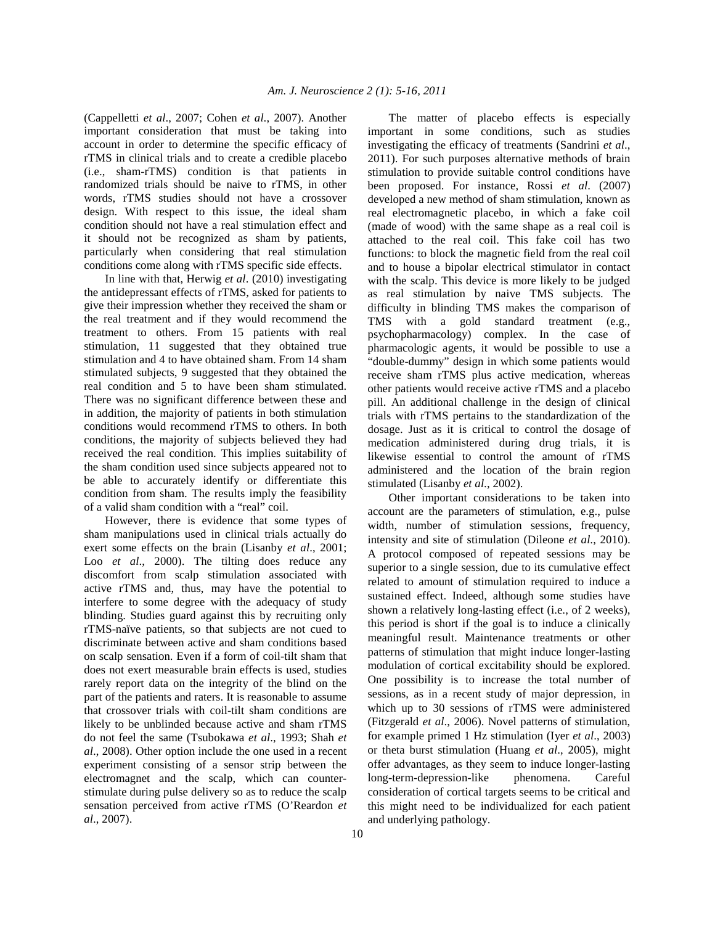(Cappelletti *et al*., 2007; Cohen *et al*., 2007). Another important consideration that must be taking into account in order to determine the specific efficacy of rTMS in clinical trials and to create a credible placebo (i.e., sham-rTMS) condition is that patients in randomized trials should be naive to rTMS, in other words, rTMS studies should not have a crossover design. With respect to this issue, the ideal sham condition should not have a real stimulation effect and it should not be recognized as sham by patients, particularly when considering that real stimulation conditions come along with rTMS specific side effects.

 In line with that, Herwig *et al*. (2010) investigating the antidepressant effects of rTMS, asked for patients to give their impression whether they received the sham or the real treatment and if they would recommend the treatment to others. From 15 patients with real stimulation, 11 suggested that they obtained true stimulation and 4 to have obtained sham. From 14 sham stimulated subjects, 9 suggested that they obtained the real condition and 5 to have been sham stimulated. There was no significant difference between these and in addition, the majority of patients in both stimulation conditions would recommend rTMS to others. In both conditions, the majority of subjects believed they had received the real condition. This implies suitability of the sham condition used since subjects appeared not to be able to accurately identify or differentiate this condition from sham. The results imply the feasibility of a valid sham condition with a "real" coil.

 However, there is evidence that some types of sham manipulations used in clinical trials actually do exert some effects on the brain (Lisanby *et al*., 2001; Loo *et al.*, 2000). The tilting does reduce any discomfort from scalp stimulation associated with active rTMS and, thus, may have the potential to interfere to some degree with the adequacy of study blinding. Studies guard against this by recruiting only rTMS-naïve patients, so that subjects are not cued to discriminate between active and sham conditions based on scalp sensation. Even if a form of coil-tilt sham that does not exert measurable brain effects is used, studies rarely report data on the integrity of the blind on the part of the patients and raters. It is reasonable to assume that crossover trials with coil-tilt sham conditions are likely to be unblinded because active and sham rTMS do not feel the same (Tsubokawa *et al*., 1993; Shah *et al*., 2008). Other option include the one used in a recent experiment consisting of a sensor strip between the electromagnet and the scalp, which can counterstimulate during pulse delivery so as to reduce the scalp sensation perceived from active rTMS (O'Reardon *et al*., 2007).

 The matter of placebo effects is especially important in some conditions, such as studies investigating the efficacy of treatments (Sandrini *et al*., 2011). For such purposes alternative methods of brain stimulation to provide suitable control conditions have been proposed. For instance, Rossi *et al*. (2007) developed a new method of sham stimulation, known as real electromagnetic placebo, in which a fake coil (made of wood) with the same shape as a real coil is attached to the real coil. This fake coil has two functions: to block the magnetic field from the real coil and to house a bipolar electrical stimulator in contact with the scalp. This device is more likely to be judged as real stimulation by naive TMS subjects. The difficulty in blinding TMS makes the comparison of TMS with a gold standard treatment (e.g., psychopharmacology) complex. In the case of pharmacologic agents, it would be possible to use a "double-dummy" design in which some patients would receive sham rTMS plus active medication, whereas other patients would receive active rTMS and a placebo pill. An additional challenge in the design of clinical trials with rTMS pertains to the standardization of the dosage. Just as it is critical to control the dosage of medication administered during drug trials, it is likewise essential to control the amount of rTMS administered and the location of the brain region stimulated (Lisanby *et al*., 2002).

 Other important considerations to be taken into account are the parameters of stimulation, e.g., pulse width, number of stimulation sessions, frequency, intensity and site of stimulation (Dileone *et al*., 2010). A protocol composed of repeated sessions may be superior to a single session, due to its cumulative effect related to amount of stimulation required to induce a sustained effect. Indeed, although some studies have shown a relatively long-lasting effect (i.e., of 2 weeks), this period is short if the goal is to induce a clinically meaningful result. Maintenance treatments or other patterns of stimulation that might induce longer-lasting modulation of cortical excitability should be explored. One possibility is to increase the total number of sessions, as in a recent study of major depression, in which up to 30 sessions of rTMS were administered (Fitzgerald *et al*., 2006). Novel patterns of stimulation, for example primed 1 Hz stimulation (Iyer *et al*., 2003) or theta burst stimulation (Huang *et al*., 2005), might offer advantages, as they seem to induce longer-lasting long-term-depression-like phenomena. Careful consideration of cortical targets seems to be critical and this might need to be individualized for each patient and underlying pathology.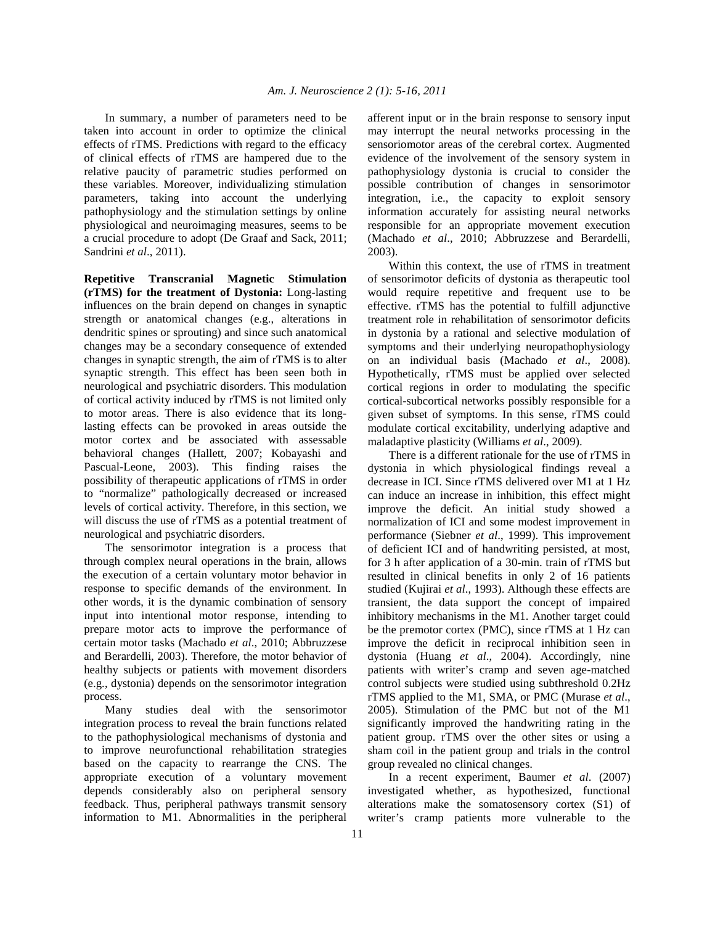In summary, a number of parameters need to be taken into account in order to optimize the clinical effects of rTMS. Predictions with regard to the efficacy of clinical effects of rTMS are hampered due to the relative paucity of parametric studies performed on these variables. Moreover, individualizing stimulation parameters, taking into account the underlying pathophysiology and the stimulation settings by online physiological and neuroimaging measures, seems to be a crucial procedure to adopt (De Graaf and Sack, 2011; Sandrini *et al*., 2011).

**Repetitive Transcranial Magnetic Stimulation (rTMS) for the treatment of Dystonia:** Long-lasting influences on the brain depend on changes in synaptic strength or anatomical changes (e.g., alterations in dendritic spines or sprouting) and since such anatomical changes may be a secondary consequence of extended changes in synaptic strength, the aim of rTMS is to alter synaptic strength. This effect has been seen both in neurological and psychiatric disorders. This modulation of cortical activity induced by rTMS is not limited only to motor areas. There is also evidence that its longlasting effects can be provoked in areas outside the motor cortex and be associated with assessable behavioral changes (Hallett, 2007; Kobayashi and Pascual-Leone, 2003). This finding raises the possibility of therapeutic applications of rTMS in order to "normalize" pathologically decreased or increased levels of cortical activity. Therefore, in this section, we will discuss the use of rTMS as a potential treatment of neurological and psychiatric disorders.

 The sensorimotor integration is a process that through complex neural operations in the brain, allows the execution of a certain voluntary motor behavior in response to specific demands of the environment. In other words, it is the dynamic combination of sensory input into intentional motor response, intending to prepare motor acts to improve the performance of certain motor tasks (Machado *et al*., 2010; Abbruzzese and Berardelli, 2003). Therefore, the motor behavior of healthy subjects or patients with movement disorders (e.g., dystonia) depends on the sensorimotor integration process.

 Many studies deal with the sensorimotor integration process to reveal the brain functions related to the pathophysiological mechanisms of dystonia and to improve neurofunctional rehabilitation strategies based on the capacity to rearrange the CNS. The appropriate execution of a voluntary movement depends considerably also on peripheral sensory feedback. Thus, peripheral pathways transmit sensory information to M1. Abnormalities in the peripheral

afferent input or in the brain response to sensory input may interrupt the neural networks processing in the sensoriomotor areas of the cerebral cortex. Augmented evidence of the involvement of the sensory system in pathophysiology dystonia is crucial to consider the possible contribution of changes in sensorimotor integration, i.e., the capacity to exploit sensory information accurately for assisting neural networks responsible for an appropriate movement execution (Machado *et al*., 2010; Abbruzzese and Berardelli, 2003).

 Within this context, the use of rTMS in treatment of sensorimotor deficits of dystonia as therapeutic tool would require repetitive and frequent use to be effective. rTMS has the potential to fulfill adjunctive treatment role in rehabilitation of sensorimotor deficits in dystonia by a rational and selective modulation of symptoms and their underlying neuropathophysiology on an individual basis (Machado *et al*., 2008). Hypothetically, rTMS must be applied over selected cortical regions in order to modulating the specific cortical-subcortical networks possibly responsible for a given subset of symptoms. In this sense, rTMS could modulate cortical excitability, underlying adaptive and maladaptive plasticity (Williams *et al*., 2009).

 There is a different rationale for the use of rTMS in dystonia in which physiological findings reveal a decrease in ICI. Since rTMS delivered over M1 at 1 Hz can induce an increase in inhibition, this effect might improve the deficit. An initial study showed a normalization of ICI and some modest improvement in performance (Siebner *et al*., 1999). This improvement of deficient ICI and of handwriting persisted, at most, for 3 h after application of a 30-min. train of rTMS but resulted in clinical benefits in only 2 of 16 patients studied (Kujirai *et al*., 1993). Although these effects are transient, the data support the concept of impaired inhibitory mechanisms in the M1. Another target could be the premotor cortex (PMC), since rTMS at 1 Hz can improve the deficit in reciprocal inhibition seen in dystonia (Huang *et al*., 2004). Accordingly, nine patients with writer's cramp and seven age-matched control subjects were studied using subthreshold 0.2Hz rTMS applied to the M1, SMA, or PMC (Murase *et al*., 2005). Stimulation of the PMC but not of the M1 significantly improved the handwriting rating in the patient group. rTMS over the other sites or using a sham coil in the patient group and trials in the control group revealed no clinical changes.

 In a recent experiment, Baumer *et al*. (2007) investigated whether, as hypothesized, functional alterations make the somatosensory cortex (S1) of writer's cramp patients more vulnerable to the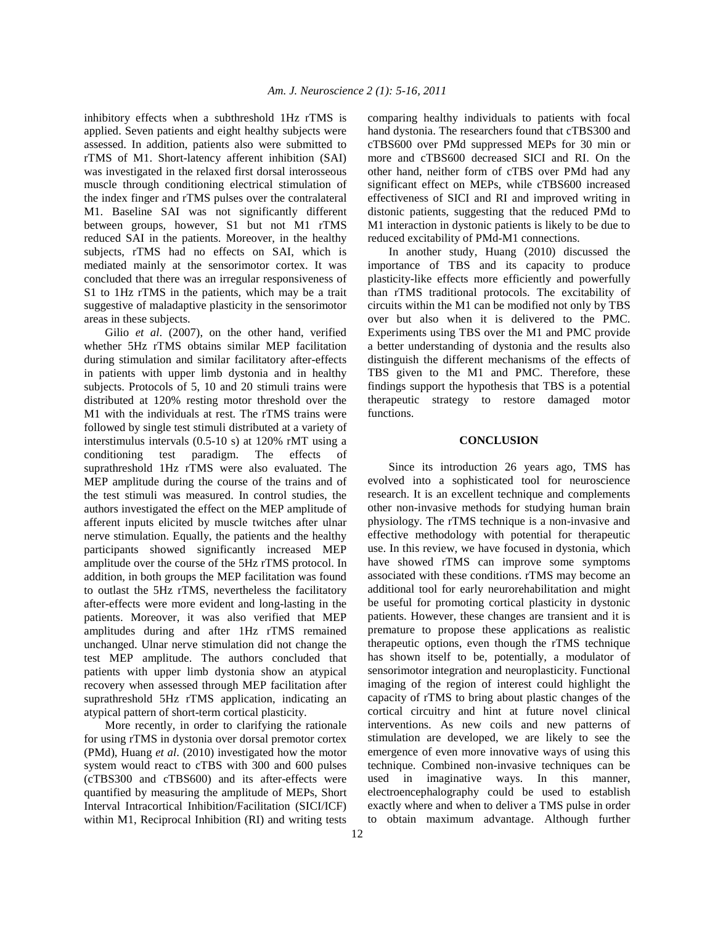inhibitory effects when a subthreshold 1Hz rTMS is applied. Seven patients and eight healthy subjects were assessed. In addition, patients also were submitted to rTMS of M1. Short-latency afferent inhibition (SAI) was investigated in the relaxed first dorsal interosseous muscle through conditioning electrical stimulation of the index finger and rTMS pulses over the contralateral M1. Baseline SAI was not significantly different between groups, however, S1 but not M1 rTMS reduced SAI in the patients. Moreover, in the healthy subjects, rTMS had no effects on SAI, which is mediated mainly at the sensorimotor cortex. It was concluded that there was an irregular responsiveness of S1 to 1Hz rTMS in the patients, which may be a trait suggestive of maladaptive plasticity in the sensorimotor areas in these subjects.

 Gilio *et al*. (2007), on the other hand, verified whether 5Hz rTMS obtains similar MEP facilitation during stimulation and similar facilitatory after-effects in patients with upper limb dystonia and in healthy subjects. Protocols of 5, 10 and 20 stimuli trains were distributed at 120% resting motor threshold over the M1 with the individuals at rest. The rTMS trains were followed by single test stimuli distributed at a variety of interstimulus intervals (0.5-10 s) at 120% rMT using a conditioning test paradigm. The effects of suprathreshold 1Hz rTMS were also evaluated. The MEP amplitude during the course of the trains and of the test stimuli was measured. In control studies, the authors investigated the effect on the MEP amplitude of afferent inputs elicited by muscle twitches after ulnar nerve stimulation. Equally, the patients and the healthy participants showed significantly increased MEP amplitude over the course of the 5Hz rTMS protocol. In addition, in both groups the MEP facilitation was found to outlast the 5Hz rTMS, nevertheless the facilitatory after-effects were more evident and long-lasting in the patients. Moreover, it was also verified that MEP amplitudes during and after 1Hz rTMS remained unchanged. Ulnar nerve stimulation did not change the test MEP amplitude. The authors concluded that patients with upper limb dystonia show an atypical recovery when assessed through MEP facilitation after suprathreshold 5Hz rTMS application, indicating an atypical pattern of short-term cortical plasticity.

 More recently, in order to clarifying the rationale for using rTMS in dystonia over dorsal premotor cortex (PMd), Huang *et al*. (2010) investigated how the motor system would react to cTBS with 300 and 600 pulses (cTBS300 and cTBS600) and its after-effects were quantified by measuring the amplitude of MEPs, Short Interval Intracortical Inhibition/Facilitation (SICI/ICF) within M1, Reciprocal Inhibition (RI) and writing tests comparing healthy individuals to patients with focal hand dystonia. The researchers found that cTBS300 and cTBS600 over PMd suppressed MEPs for 30 min or more and cTBS600 decreased SICI and RI. On the other hand, neither form of cTBS over PMd had any significant effect on MEPs, while cTBS600 increased effectiveness of SICI and RI and improved writing in distonic patients, suggesting that the reduced PMd to M1 interaction in dystonic patients is likely to be due to reduced excitability of PMd-M1 connections.

 In another study, Huang (2010) discussed the importance of TBS and its capacity to produce plasticity-like effects more efficiently and powerfully than rTMS traditional protocols. The excitability of circuits within the M1 can be modified not only by TBS over but also when it is delivered to the PMC. Experiments using TBS over the M1 and PMC provide a better understanding of dystonia and the results also distinguish the different mechanisms of the effects of TBS given to the M1 and PMC. Therefore, these findings support the hypothesis that TBS is a potential therapeutic strategy to restore damaged motor functions.

## **CONCLUSION**

 Since its introduction 26 years ago, TMS has evolved into a sophisticated tool for neuroscience research. It is an excellent technique and complements other non-invasive methods for studying human brain physiology. The rTMS technique is a non-invasive and effective methodology with potential for therapeutic use. In this review, we have focused in dystonia, which have showed rTMS can improve some symptoms associated with these conditions. rTMS may become an additional tool for early neurorehabilitation and might be useful for promoting cortical plasticity in dystonic patients. However, these changes are transient and it is premature to propose these applications as realistic therapeutic options, even though the rTMS technique has shown itself to be, potentially, a modulator of sensorimotor integration and neuroplasticity. Functional imaging of the region of interest could highlight the capacity of rTMS to bring about plastic changes of the cortical circuitry and hint at future novel clinical interventions. As new coils and new patterns of stimulation are developed, we are likely to see the emergence of even more innovative ways of using this technique. Combined non-invasive techniques can be used in imaginative ways. In this manner, electroencephalography could be used to establish exactly where and when to deliver a TMS pulse in order to obtain maximum advantage. Although further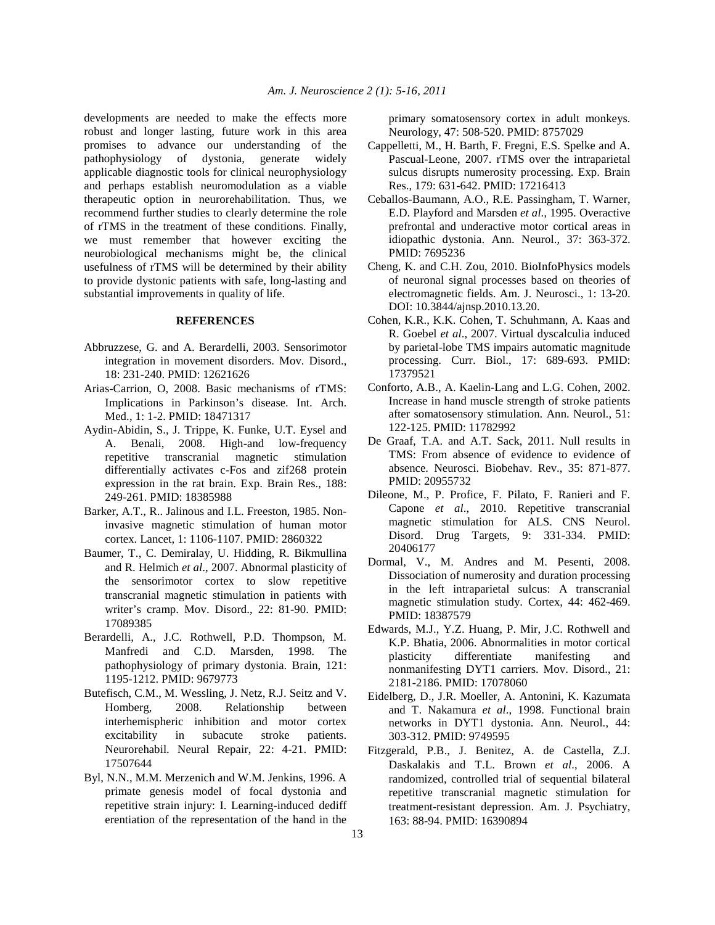developments are needed to make the effects more robust and longer lasting, future work in this area promises to advance our understanding of the pathophysiology of dystonia, generate widely applicable diagnostic tools for clinical neurophysiology and perhaps establish neuromodulation as a viable therapeutic option in neurorehabilitation. Thus, we recommend further studies to clearly determine the role of rTMS in the treatment of these conditions. Finally, we must remember that however exciting the neurobiological mechanisms might be, the clinical usefulness of rTMS will be determined by their ability to provide dystonic patients with safe, long-lasting and substantial improvements in quality of life.

## **REFERENCES**

- Abbruzzese, G. and A. Berardelli, 2003. Sensorimotor integration in movement disorders. Mov. Disord., 18: 231-240. PMID: 12621626
- Arias-Carrion, O, 2008. Basic mechanisms of rTMS: Implications in Parkinson's disease. Int. Arch. Med., 1: 1-2. PMID: 18471317
- Aydin-Abidin, S., J. Trippe, K. Funke, U.T. Eysel and A. Benali, 2008. High-and low-frequency repetitive transcranial magnetic stimulation differentially activates c-Fos and zif268 protein expression in the rat brain. Exp. Brain Res., 188: 249-261. PMID: 18385988
- Barker, A.T., R.. Jalinous and I.L. Freeston, 1985. Noninvasive magnetic stimulation of human motor cortex. Lancet, 1: 1106-1107. PMID: 2860322
- Baumer, T., C. Demiralay, U. Hidding, R. Bikmullina and R. Helmich *et al*., 2007. Abnormal plasticity of the sensorimotor cortex to slow repetitive transcranial magnetic stimulation in patients with writer's cramp. Mov. Disord., 22: 81-90. PMID: 17089385
- Berardelli, A., J.C. Rothwell, P.D. Thompson, M. Manfredi and C.D. Marsden, 1998. The pathophysiology of primary dystonia. Brain, 121: 1195-1212. PMID: 9679773
- Butefisch, C.M., M. Wessling, J. Netz, R.J. Seitz and V. Homberg, 2008. Relationship between interhemispheric inhibition and motor cortex excitability in subacute stroke patients. Neurorehabil. Neural Repair, 22: 4-21. PMID: 17507644
- Byl, N.N., M.M. Merzenich and W.M. Jenkins, 1996. A primate genesis model of focal dystonia and repetitive strain injury: I. Learning-induced dediff erentiation of the representation of the hand in the

primary somatosensory cortex in adult monkeys. Neurology, 47: 508-520. PMID: 8757029

- Cappelletti, M., H. Barth, F. Fregni, E.S. Spelke and A. Pascual-Leone, 2007. rTMS over the intraparietal sulcus disrupts numerosity processing. Exp. Brain Res., 179: 631-642. PMID: 17216413
- Ceballos-Baumann, A.O., R.E. Passingham, T. Warner, E.D. Playford and Marsden *et al*., 1995. Overactive prefrontal and underactive motor cortical areas in idiopathic dystonia. Ann. Neurol., 37: 363-372. PMID: 7695236
- Cheng, K. and C.H. Zou, 2010. BioInfoPhysics models of neuronal signal processes based on theories of electromagnetic fields. Am. J. Neurosci., 1: 13-20. DOI: 10.3844/ajnsp.2010.13.20.
- Cohen, K.R., K.K. Cohen, T. Schuhmann, A. Kaas and R. Goebel *et al*., 2007. Virtual dyscalculia induced by parietal-lobe TMS impairs automatic magnitude processing. Curr. Biol., 17: 689-693. PMID: 17379521
- Conforto, A.B., A. Kaelin-Lang and L.G. Cohen, 2002. Increase in hand muscle strength of stroke patients after somatosensory stimulation. Ann. Neurol., 51: 122-125. PMID: 11782992
- De Graaf, T.A. and A.T. Sack, 2011. Null results in TMS: From absence of evidence to evidence of absence. Neurosci. Biobehav. Rev., 35: 871-877. PMID: 20955732
- Dileone, M., P. Profice, F. Pilato, F. Ranieri and F. Capone *et al*., 2010. Repetitive transcranial magnetic stimulation for ALS. CNS Neurol. Disord. Drug Targets, 9: 331-334. PMID: 20406177
- Dormal, V., M. Andres and M. Pesenti, 2008. Dissociation of numerosity and duration processing in the left intraparietal sulcus: A transcranial magnetic stimulation study. Cortex, 44: 462-469. PMID: 18387579
- Edwards, M.J., Y.Z. Huang, P. Mir, J.C. Rothwell and K.P. Bhatia, 2006. Abnormalities in motor cortical plasticity differentiate manifesting and nonmanifesting DYT1 carriers. Mov. Disord., 21: 2181-2186. PMID: 17078060
- Eidelberg, D., J.R. Moeller, A. Antonini, K. Kazumata and T. Nakamura *et al*., 1998. Functional brain networks in DYT1 dystonia. Ann. Neurol., 44: 303-312. PMID: 9749595
- Fitzgerald, P.B., J. Benitez, A. de Castella, Z.J. Daskalakis and T.L. Brown *et al*., 2006. A randomized, controlled trial of sequential bilateral repetitive transcranial magnetic stimulation for treatment-resistant depression. Am. J. Psychiatry, 163: 88-94. PMID: 16390894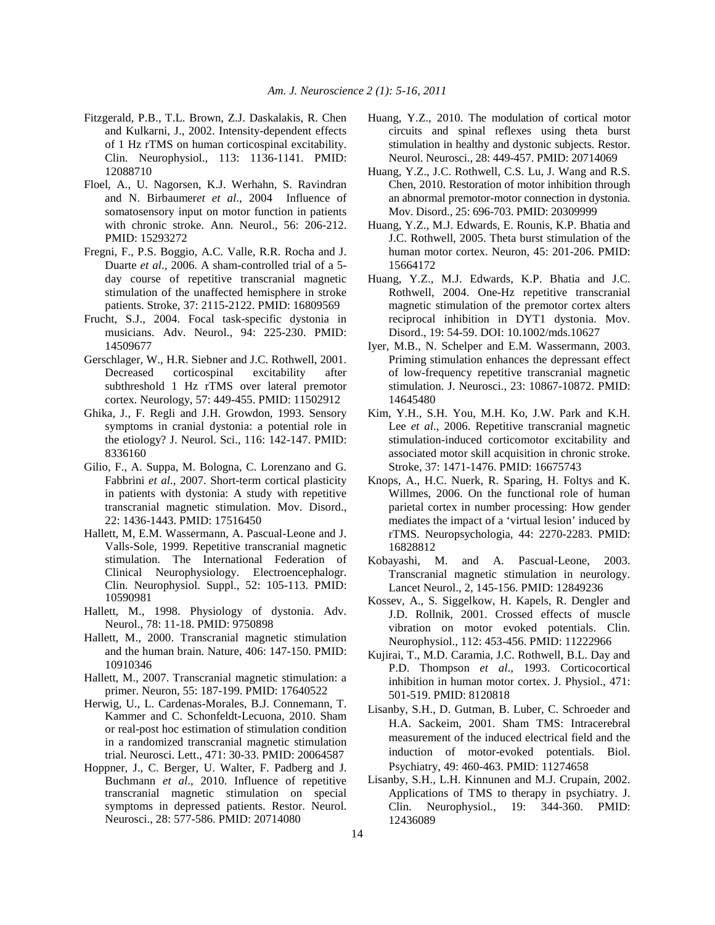- Fitzgerald, P.B., T.L. Brown, Z.J. Daskalakis, R. Chen and Kulkarni, J., 2002. Intensity-dependent effects of 1 Hz rTMS on human corticospinal excitability. Clin. Neurophysiol., 113: 1136-1141. PMID: 12088710
- Floel, A., U. Nagorsen, K.J. Werhahn, S. Ravindran and N. Birbaumer*et et al*., 2004 Influence of somatosensory input on motor function in patients with chronic stroke. Ann. Neurol., 56: 206-212. PMID: 15293272
- Fregni, F., P.S. Boggio, A.C. Valle, R.R. Rocha and J. Duarte *et al*., 2006. A sham-controlled trial of a 5 day course of repetitive transcranial magnetic stimulation of the unaffected hemisphere in stroke patients. Stroke, 37: 2115-2122. PMID: 16809569
- Frucht, S.J., 2004. Focal task-specific dystonia in musicians. Adv. Neurol., 94: 225-230. PMID: 14509677
- Gerschlager, W., H.R. Siebner and J.C. Rothwell, 2001. Decreased corticospinal excitability after subthreshold 1 Hz rTMS over lateral premotor cortex. Neurology, 57: 449-455. PMID: 11502912
- Ghika, J., F. Regli and J.H. Growdon, 1993. Sensory symptoms in cranial dystonia: a potential role in the etiology? J. Neurol. Sci., 116: 142-147. PMID: 8336160
- Gilio, F., A. Suppa, M. Bologna, C. Lorenzano and G. Fabbrini *et al*., 2007. Short-term cortical plasticity in patients with dystonia: A study with repetitive transcranial magnetic stimulation. Mov. Disord., 22: 1436-1443. PMID: 17516450
- Hallett, M, E.M. Wassermann, A. Pascual-Leone and J. Valls-Sole, 1999. Repetitive transcranial magnetic stimulation. The International Federation of Clinical Neurophysiology. Electroencephalogr. Clin. Neurophysiol. Suppl., 52: 105-113. PMID: 10590981
- Hallett, M., 1998. Physiology of dystonia. Adv. Neurol., 78: 11-18. PMID: 9750898
- Hallett, M., 2000. Transcranial magnetic stimulation and the human brain. Nature, 406: 147-150. PMID: 10910346
- Hallett, M., 2007. Transcranial magnetic stimulation: a primer. Neuron, 55: 187-199. PMID: 17640522
- Herwig, U., L. Cardenas-Morales, B.J. Connemann, T. Kammer and C. Schonfeldt-Lecuona, 2010. Sham or real-post hoc estimation of stimulation condition in a randomized transcranial magnetic stimulation trial. Neurosci. Lett., 471: 30-33. PMID: 20064587
- Hoppner, J., C. Berger, U. Walter, F. Padberg and J. Buchmann *et al*., 2010. Influence of repetitive transcranial magnetic stimulation on special symptoms in depressed patients. Restor. Neurol. Neurosci., 28: 577-586. PMID: 20714080
- Huang, Y.Z., 2010. The modulation of cortical motor circuits and spinal reflexes using theta burst stimulation in healthy and dystonic subjects. Restor. Neurol. Neurosci., 28: 449-457. PMID: 20714069
- Huang, Y.Z., J.C. Rothwell, C.S. Lu, J. Wang and R.S. Chen, 2010. Restoration of motor inhibition through an abnormal premotor-motor connection in dystonia. Mov. Disord., 25: 696-703. PMID: 20309999
- Huang, Y.Z., M.J. Edwards, E. Rounis, K.P. Bhatia and J.C. Rothwell, 2005. Theta burst stimulation of the human motor cortex. Neuron, 45: 201-206. PMID: 15664172
- Huang, Y.Z., M.J. Edwards, K.P. Bhatia and J.C. Rothwell, 2004. One-Hz repetitive transcranial magnetic stimulation of the premotor cortex alters reciprocal inhibition in DYT1 dystonia. Mov. Disord., 19: 54-59. DOI: 10.1002/mds.10627
- Iyer, M.B., N. Schelper and E.M. Wassermann, 2003. Priming stimulation enhances the depressant effect of low-frequency repetitive transcranial magnetic stimulation. J. Neurosci., 23: 10867-10872. PMID: 14645480
- Kim, Y.H., S.H. You, M.H. Ko, J.W. Park and K.H. Lee *et al.*, 2006. Repetitive transcranial magnetic stimulation-induced corticomotor excitability and associated motor skill acquisition in chronic stroke. Stroke, 37: 1471-1476. PMID: 16675743
- Knops, A., H.C. Nuerk, R. Sparing, H. Foltys and K. Willmes, 2006. On the functional role of human parietal cortex in number processing: How gender mediates the impact of a 'virtual lesion' induced by rTMS. Neuropsychologia, 44: 2270-2283. PMID: 16828812
- Kobayashi, M. and A. Pascual-Leone, 2003. Transcranial magnetic stimulation in neurology. Lancet Neurol., 2, 145-156. PMID: 12849236
- Kossev, A., S. Siggelkow, H. Kapels, R. Dengler and J.D. Rollnik, 2001. Crossed effects of muscle vibration on motor evoked potentials. Clin. Neurophysiol., 112: 453-456. PMID: 11222966
- Kujirai, T., M.D. Caramia, J.C. Rothwell, B.L. Day and P.D. Thompson *et al*., 1993. Corticocortical inhibition in human motor cortex. J. Physiol., 471: 501-519. PMID: 8120818
- Lisanby, S.H., D. Gutman, B. Luber, C. Schroeder and H.A. Sackeim, 2001. Sham TMS: Intracerebral measurement of the induced electrical field and the induction of motor-evoked potentials. Biol. Psychiatry, 49: 460-463. PMID: 11274658
- Lisanby, S.H., L.H. Kinnunen and M.J. Crupain, 2002. Applications of TMS to therapy in psychiatry. J. Clin. Neurophysiol., 19: 344-360. PMID: 12436089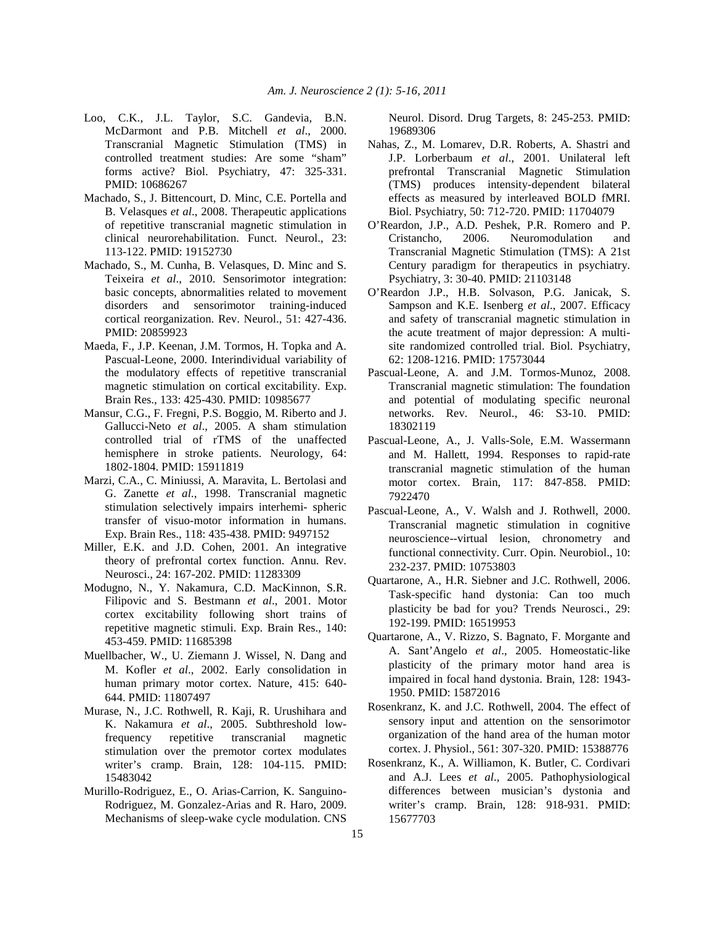- Loo, C.K., J.L. Taylor, S.C. Gandevia, B.N. McDarmont and P.B. Mitchell *et al*., 2000. Transcranial Magnetic Stimulation (TMS) in controlled treatment studies: Are some "sham" forms active? Biol. Psychiatry, 47: 325-331. PMID: 10686267
- Machado, S., J. Bittencourt, D. Minc, C.E. Portella and B. Velasques *et al*., 2008. Therapeutic applications of repetitive transcranial magnetic stimulation in clinical neurorehabilitation. Funct. Neurol., 23: 113-122. PMID: 19152730
- Machado, S., M. Cunha, B. Velasques, D. Minc and S. Teixeira *et al*., 2010. Sensorimotor integration: basic concepts, abnormalities related to movement disorders and sensorimotor training-induced cortical reorganization. Rev. Neurol., 51: 427-436. PMID: 20859923
- Maeda, F., J.P. Keenan, J.M. Tormos, H. Topka and A. Pascual-Leone, 2000. Interindividual variability of the modulatory effects of repetitive transcranial magnetic stimulation on cortical excitability. Exp. Brain Res., 133: 425-430. PMID: 10985677
- Mansur, C.G., F. Fregni, P.S. Boggio, M. Riberto and J. Gallucci-Neto *et al*., 2005. A sham stimulation controlled trial of rTMS of the unaffected hemisphere in stroke patients. Neurology, 64: 1802-1804. PMID: 15911819
- Marzi, C.A., C. Miniussi, A. Maravita, L. Bertolasi and G. Zanette *et al*., 1998. Transcranial magnetic stimulation selectively impairs interhemi- spheric transfer of visuo-motor information in humans. Exp. Brain Res., 118: 435-438. PMID: 9497152
- Miller, E.K. and J.D. Cohen, 2001. An integrative theory of prefrontal cortex function. Annu. Rev. Neurosci., 24: 167-202. PMID: 11283309
- Modugno, N., Y. Nakamura, C.D. MacKinnon, S.R. Filipovic and S. Bestmann *et al*., 2001. Motor cortex excitability following short trains of repetitive magnetic stimuli. Exp. Brain Res., 140: 453-459. PMID: 11685398
- Muellbacher, W., U. Ziemann J. Wissel, N. Dang and M. Kofler *et al*., 2002. Early consolidation in human primary motor cortex. Nature, 415: 640- 644. PMID: 11807497
- Murase, N., J.C. Rothwell, R. Kaji, R. Urushihara and K. Nakamura *et al*., 2005. Subthreshold lowfrequency repetitive transcranial magnetic stimulation over the premotor cortex modulates writer's cramp. Brain, 128: 104-115. PMID: 15483042
- Murillo-Rodriguez, E., O. Arias-Carrion, K. Sanguino-Rodriguez, M. Gonzalez-Arias and R. Haro, 2009. Mechanisms of sleep-wake cycle modulation. CNS

Neurol. Disord. Drug Targets, 8: 245-253. PMID: 19689306

- Nahas, Z., M. Lomarev, D.R. Roberts, A. Shastri and J.P. Lorberbaum *et al*., 2001. Unilateral left prefrontal Transcranial Magnetic Stimulation (TMS) produces intensity-dependent bilateral effects as measured by interleaved BOLD fMRI. Biol. Psychiatry, 50: 712-720. PMID: 11704079
- O'Reardon, J.P., A.D. Peshek, P.R. Romero and P. Cristancho, 2006. Neuromodulation and Transcranial Magnetic Stimulation (TMS): A 21st Century paradigm for therapeutics in psychiatry. Psychiatry, 3: 30-40. PMID: 21103148
- O'Reardon J.P., H.B. Solvason, P.G. Janicak, S. Sampson and K.E. Isenberg *et al*., 2007. Efficacy and safety of transcranial magnetic stimulation in the acute treatment of major depression: A multisite randomized controlled trial. Biol. Psychiatry, 62: 1208-1216. PMID: 17573044
- Pascual-Leone, A. and J.M. Tormos-Munoz, 2008. Transcranial magnetic stimulation: The foundation and potential of modulating specific neuronal networks. Rev. Neurol., 46: S3-10. PMID: 18302119
- Pascual-Leone, A., J. Valls-Sole, E.M. Wassermann and M. Hallett, 1994. Responses to rapid-rate transcranial magnetic stimulation of the human motor cortex. Brain, 117: 847-858. PMID: 7922470
- Pascual-Leone, A., V. Walsh and J. Rothwell, 2000. Transcranial magnetic stimulation in cognitive neuroscience--virtual lesion, chronometry and functional connectivity. Curr. Opin. Neurobiol., 10: 232-237. PMID: 10753803
- Quartarone, A., H.R. Siebner and J.C. Rothwell, 2006. Task-specific hand dystonia: Can too much plasticity be bad for you? Trends Neurosci., 29: 192-199. PMID: 16519953
- Quartarone, A., V. Rizzo, S. Bagnato, F. Morgante and A. Sant'Angelo *et al*., 2005. Homeostatic-like plasticity of the primary motor hand area is impaired in focal hand dystonia. Brain, 128: 1943- 1950. PMID: 15872016
- Rosenkranz, K. and J.C. Rothwell, 2004. The effect of sensory input and attention on the sensorimotor organization of the hand area of the human motor cortex. J. Physiol., 561: 307-320. PMID: 15388776
- Rosenkranz, K., A. Williamon, K. Butler, C. Cordivari and A.J. Lees *et al*., 2005. Pathophysiological differences between musician's dystonia and writer's cramp. Brain, 128: 918-931. PMID: 15677703